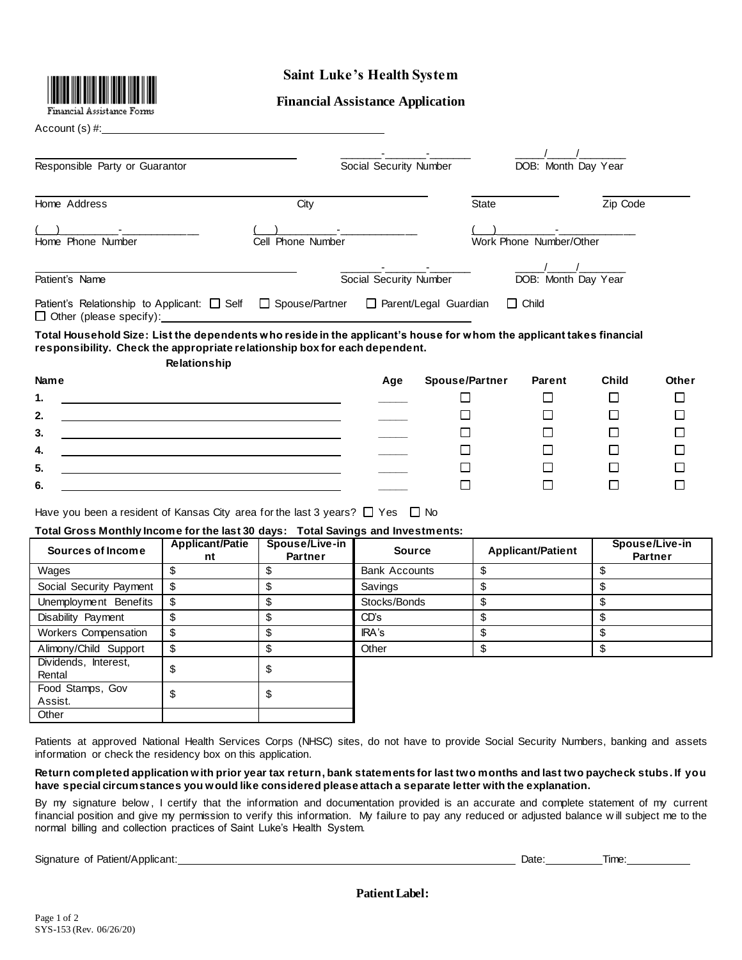

# **Saint Luke's Health System**

## **Financial Assistance Application**

Account (s) #:

| Responsible Party or Guarantor                                                                                                                                                                                            |                   | Social Security Number       | DOB: Month Day Year     |  |
|---------------------------------------------------------------------------------------------------------------------------------------------------------------------------------------------------------------------------|-------------------|------------------------------|-------------------------|--|
| Home Address                                                                                                                                                                                                              | City              | <b>State</b>                 | Zip Code                |  |
| Home Phone Number                                                                                                                                                                                                         | Cell Phone Number |                              | Work Phone Number/Other |  |
| Patient's Name                                                                                                                                                                                                            |                   | Social Security Number       | DOB: Month Day Year     |  |
| Patient's Relationship to Applicant: $\Box$ Self<br>$\Box$ Other (please specify):                                                                                                                                        | □ Spouse/Partner  | $\Box$ Parent/Legal Guardian | $\Box$ Child            |  |
| Total Household Size: List the dependents who reside in the applicant's house for whom the applicant takes financial<br>responsibility. Check the appropriate relationship box for each dependent.<br><b>Relationship</b> |                   |                              |                         |  |

| <b>Name</b>                                                       | Age | <b>Spouse/Partner</b> | Parent | <b>Child</b> | Other |
|-------------------------------------------------------------------|-----|-----------------------|--------|--------------|-------|
| 1.<br><u> 1989 - Johann Stoff, amerikansk politiker (d. 1989)</u> |     |                       |        |              |       |
| 2.<br><u> 1989 - Johann Stoff, amerikansk politiker (d. 1989)</u> |     |                       |        |              |       |
| 3.                                                                |     |                       |        |              |       |
| 4.                                                                |     |                       |        |              |       |
| 5.                                                                |     |                       |        |              |       |
| 6.                                                                |     |                       |        |              |       |
|                                                                   |     |                       |        |              |       |

Have you been a resident of Kansas City area for the last 3 years?  $\Box$  Yes  $\Box$  No

### **Total Gross Monthly Income for the last 30 days: Total Savings and Investments:**

| Sources of Income              | <b>Applicant/Patie</b><br>nt | Spouse/Live-in<br><b>Partner</b> | <b>Source</b>        | <b>Applicant/Patient</b> | Spouse/Live-in<br><b>Partner</b> |
|--------------------------------|------------------------------|----------------------------------|----------------------|--------------------------|----------------------------------|
| Wages                          |                              |                                  | <b>Bank Accounts</b> |                          |                                  |
| Social Security Payment        | \$                           | Ъ                                | Savings              |                          |                                  |
| Unemployment Benefits          |                              | \$                               | Stocks/Bonds         |                          |                                  |
| Disability Payment             |                              |                                  | CD's                 |                          |                                  |
| Workers Compensation           | \$                           | \$                               | IRA's                |                          |                                  |
| Alimony/Child Support          |                              | \$                               | Other                |                          |                                  |
| Dividends, Interest,<br>Rental |                              | Œ                                |                      |                          |                                  |
| Food Stamps, Gov<br>Assist.    |                              | ሥ                                |                      |                          |                                  |
| Other                          |                              |                                  |                      |                          |                                  |

Patients at approved National Health Services Corps (NHSC) sites, do not have to provide Social Security Numbers, banking and assets information or check the residency box on this application.

**Return completed application with prior year tax return, bank statements for last two months and last two paycheck stubs. If you have special circumstances you would like considered please attach a separate letter with the explanation.**

By my signature below , I certify that the information and documentation provided is an accurate and complete statement of my current financial position and give my permission to verify this information. My failure to pay any reduced or adjusted balance w ill subject me to the normal billing and collection practices of Saint Luke's Health System.

|  |  | Signature of Patient/Applicant: |
|--|--|---------------------------------|
|--|--|---------------------------------|

| . rate∴<br>saw. | i sa a c<br>$\cdots$ |
|-----------------|----------------------|
|                 |                      |

**Patient Label:**